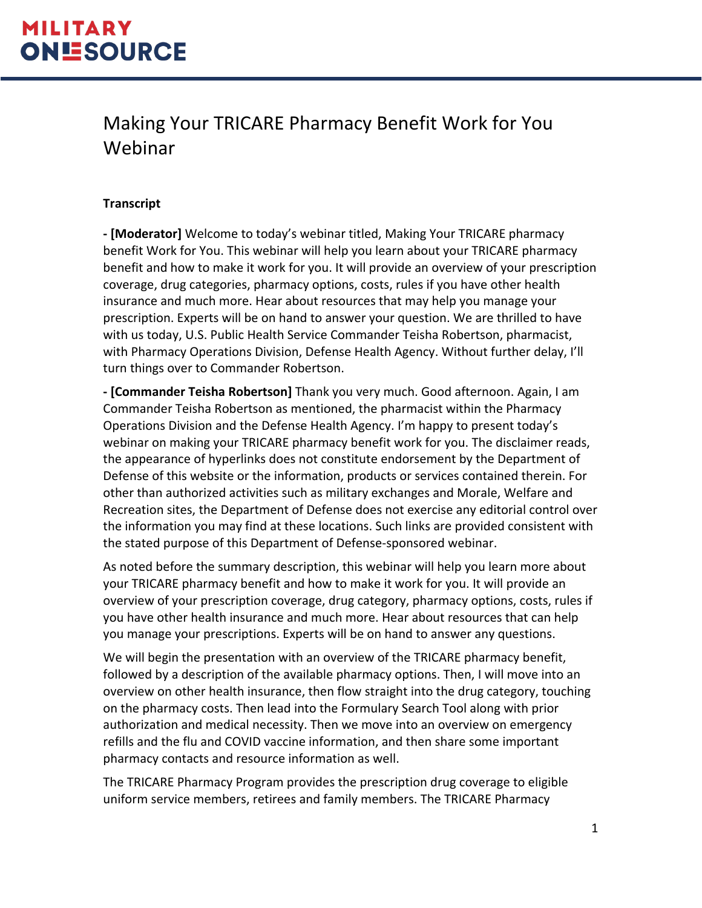#### Making Your TRICARE Pharmacy Benefit Work for You Webinar

#### **Transcript**

**- [Moderator]** Welcome to today's webinar titled, Making Your TRICARE pharmacy benefit Work for You. This webinar will help you learn about your TRICARE pharmacy benefit and how to make it work for you. It will provide an overview of your prescription coverage, drug categories, pharmacy options, costs, rules if you have other health insurance and much more. Hear about resources that may help you manage your prescription. Experts will be on hand to answer your question. We are thrilled to have with us today, U.S. Public Health Service Commander Teisha Robertson, pharmacist, with Pharmacy Operations Division, Defense Health Agency. Without further delay, I'll turn things over to Commander Robertson.

**- [Commander Teisha Robertson]** Thank you very much. Good afternoon. Again, I am Commander Teisha Robertson as mentioned, the pharmacist within the Pharmacy Operations Division and the Defense Health Agency. I'm happy to present today's webinar on making your TRICARE pharmacy benefit work for you. The disclaimer reads, the appearance of hyperlinks does not constitute endorsement by the Department of Defense of this website or the information, products or services contained therein. For other than authorized activities such as military exchanges and Morale, Welfare and Recreation sites, the Department of Defense does not exercise any editorial control over the information you may find at these locations. Such links are provided consistent with the stated purpose of this Department of Defense-sponsored webinar.

As noted before the summary description, this webinar will help you learn more about your TRICARE pharmacy benefit and how to make it work for you. It will provide an overview of your prescription coverage, drug category, pharmacy options, costs, rules if you have other health insurance and much more. Hear about resources that can help you manage your prescriptions. Experts will be on hand to answer any questions.

We will begin the presentation with an overview of the TRICARE pharmacy benefit, followed by a description of the available pharmacy options. Then, I will move into an overview on other health insurance, then flow straight into the drug category, touching on the pharmacy costs. Then lead into the Formulary Search Tool along with prior authorization and medical necessity. Then we move into an overview on emergency refills and the flu and COVID vaccine information, and then share some important pharmacy contacts and resource information as well.

The TRICARE Pharmacy Program provides the prescription drug coverage to eligible uniform service members, retirees and family members. The TRICARE Pharmacy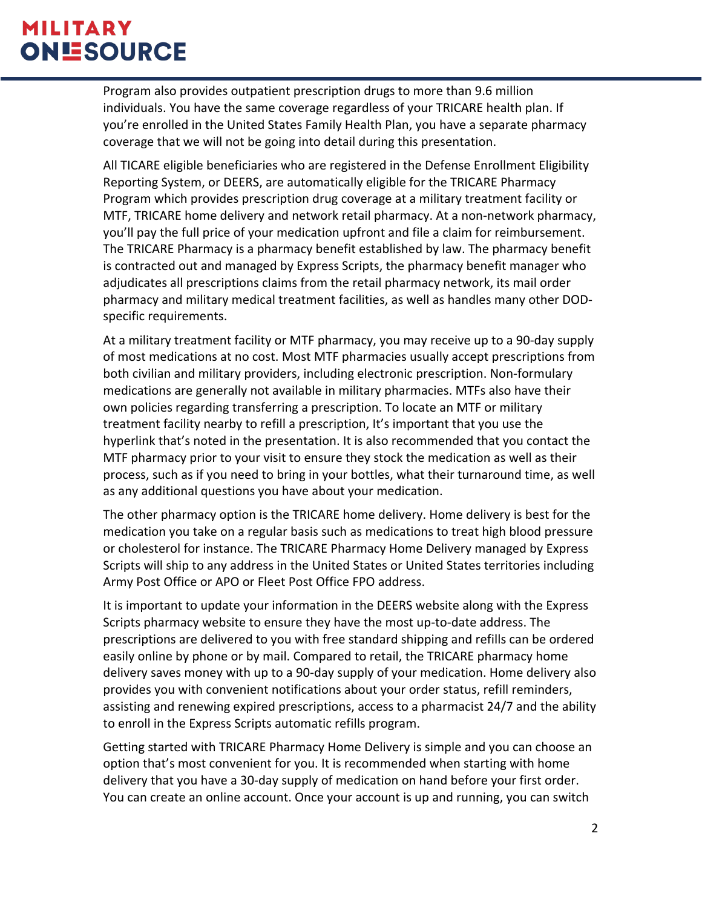Program also provides outpatient prescription drugs to more than 9.6 million individuals. You have the same coverage regardless of your TRICARE health plan. If you're enrolled in the United States Family Health Plan, you have a separate pharmacy coverage that we will not be going into detail during this presentation.

All TICARE eligible beneficiaries who are registered in the Defense Enrollment Eligibility Reporting System, or DEERS, are automatically eligible for the TRICARE Pharmacy Program which provides prescription drug coverage at a military treatment facility or MTF, TRICARE home delivery and network retail pharmacy. At a non-network pharmacy, you'll pay the full price of your medication upfront and file a claim for reimbursement. The TRICARE Pharmacy is a pharmacy benefit established by law. The pharmacy benefit is contracted out and managed by Express Scripts, the pharmacy benefit manager who adjudicates all prescriptions claims from the retail pharmacy network, its mail order pharmacy and military medical treatment facilities, as well as handles many other DODspecific requirements.

At a military treatment facility or MTF pharmacy, you may receive up to a 90-day supply of most medications at no cost. Most MTF pharmacies usually accept prescriptions from both civilian and military providers, including electronic prescription. Non-formulary medications are generally not available in military pharmacies. MTFs also have their own policies regarding transferring a prescription. To locate an MTF or military treatment facility nearby to refill a prescription, It's important that you use the hyperlink that's noted in the presentation. It is also recommended that you contact the MTF pharmacy prior to your visit to ensure they stock the medication as well as their process, such as if you need to bring in your bottles, what their turnaround time, as well as any additional questions you have about your medication.

The other pharmacy option is the TRICARE home delivery. Home delivery is best for the medication you take on a regular basis such as medications to treat high blood pressure or cholesterol for instance. The TRICARE Pharmacy Home Delivery managed by Express Scripts will ship to any address in the United States or United States territories including Army Post Office or APO or Fleet Post Office FPO address.

It is important to update your information in the DEERS website along with the Express Scripts pharmacy website to ensure they have the most up-to-date address. The prescriptions are delivered to you with free standard shipping and refills can be ordered easily online by phone or by mail. Compared to retail, the TRICARE pharmacy home delivery saves money with up to a 90-day supply of your medication. Home delivery also provides you with convenient notifications about your order status, refill reminders, assisting and renewing expired prescriptions, access to a pharmacist 24/7 and the ability to enroll in the Express Scripts automatic refills program.

Getting started with TRICARE Pharmacy Home Delivery is simple and you can choose an option that's most convenient for you. It is recommended when starting with home delivery that you have a 30-day supply of medication on hand before your first order. You can create an online account. Once your account is up and running, you can switch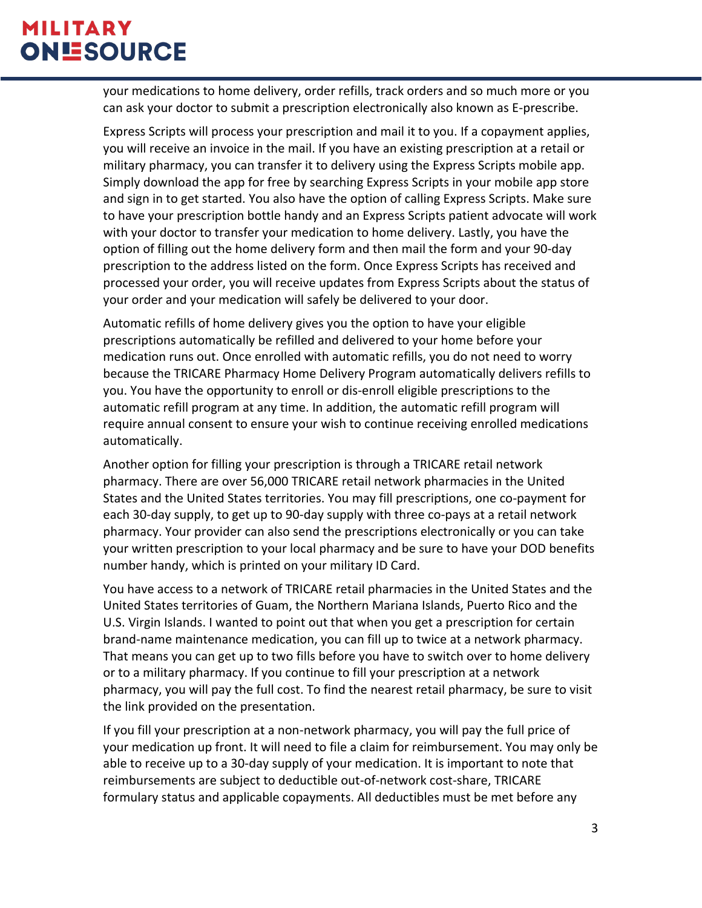your medications to home delivery, order refills, track orders and so much more or you can ask your doctor to submit a prescription electronically also known as E-prescribe.

Express Scripts will process your prescription and mail it to you. If a copayment applies, you will receive an invoice in the mail. If you have an existing prescription at a retail or military pharmacy, you can transfer it to delivery using the Express Scripts mobile app. Simply download the app for free by searching Express Scripts in your mobile app store and sign in to get started. You also have the option of calling Express Scripts. Make sure to have your prescription bottle handy and an Express Scripts patient advocate will work with your doctor to transfer your medication to home delivery. Lastly, you have the option of filling out the home delivery form and then mail the form and your 90-day prescription to the address listed on the form. Once Express Scripts has received and processed your order, you will receive updates from Express Scripts about the status of your order and your medication will safely be delivered to your door.

Automatic refills of home delivery gives you the option to have your eligible prescriptions automatically be refilled and delivered to your home before your medication runs out. Once enrolled with automatic refills, you do not need to worry because the TRICARE Pharmacy Home Delivery Program automatically delivers refills to you. You have the opportunity to enroll or dis-enroll eligible prescriptions to the automatic refill program at any time. In addition, the automatic refill program will require annual consent to ensure your wish to continue receiving enrolled medications automatically.

Another option for filling your prescription is through a TRICARE retail network pharmacy. There are over 56,000 TRICARE retail network pharmacies in the United States and the United States territories. You may fill prescriptions, one co-payment for each 30-day supply, to get up to 90-day supply with three co-pays at a retail network pharmacy. Your provider can also send the prescriptions electronically or you can take your written prescription to your local pharmacy and be sure to have your DOD benefits number handy, which is printed on your military ID Card.

You have access to a network of TRICARE retail pharmacies in the United States and the United States territories of Guam, the Northern Mariana Islands, Puerto Rico and the U.S. Virgin Islands. I wanted to point out that when you get a prescription for certain brand-name maintenance medication, you can fill up to twice at a network pharmacy. That means you can get up to two fills before you have to switch over to home delivery or to a military pharmacy. If you continue to fill your prescription at a network pharmacy, you will pay the full cost. To find the nearest retail pharmacy, be sure to visit the link provided on the presentation.

If you fill your prescription at a non-network pharmacy, you will pay the full price of your medication up front. It will need to file a claim for reimbursement. You may only be able to receive up to a 30-day supply of your medication. It is important to note that reimbursements are subject to deductible out-of-network cost-share, TRICARE formulary status and applicable copayments. All deductibles must be met before any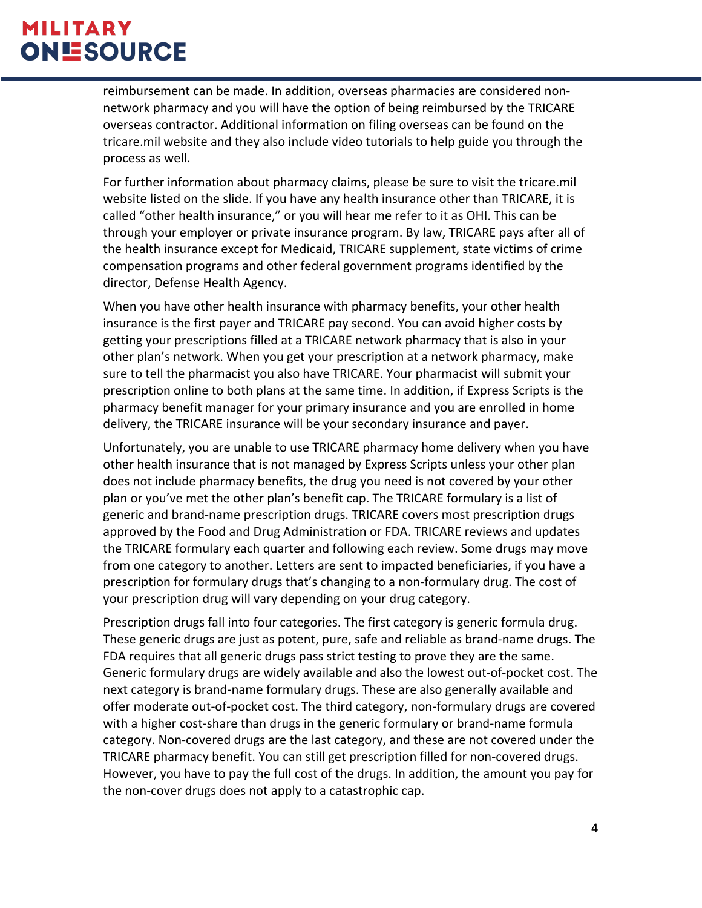reimbursement can be made. In addition, overseas pharmacies are considered nonnetwork pharmacy and you will have the option of being reimbursed by the TRICARE overseas contractor. Additional information on filing overseas can be found on the tricare.mil website and they also include video tutorials to help guide you through the process as well.

For further information about pharmacy claims, please be sure to visit the tricare.mil website listed on the slide. If you have any health insurance other than TRICARE, it is called "other health insurance," or you will hear me refer to it as OHI. This can be through your employer or private insurance program. By law, TRICARE pays after all of the health insurance except for Medicaid, TRICARE supplement, state victims of crime compensation programs and other federal government programs identified by the director, Defense Health Agency.

When you have other health insurance with pharmacy benefits, your other health insurance is the first payer and TRICARE pay second. You can avoid higher costs by getting your prescriptions filled at a TRICARE network pharmacy that is also in your other plan's network. When you get your prescription at a network pharmacy, make sure to tell the pharmacist you also have TRICARE. Your pharmacist will submit your prescription online to both plans at the same time. In addition, if Express Scripts is the pharmacy benefit manager for your primary insurance and you are enrolled in home delivery, the TRICARE insurance will be your secondary insurance and payer.

Unfortunately, you are unable to use TRICARE pharmacy home delivery when you have other health insurance that is not managed by Express Scripts unless your other plan does not include pharmacy benefits, the drug you need is not covered by your other plan or you've met the other plan's benefit cap. The TRICARE formulary is a list of generic and brand-name prescription drugs. TRICARE covers most prescription drugs approved by the Food and Drug Administration or FDA. TRICARE reviews and updates the TRICARE formulary each quarter and following each review. Some drugs may move from one category to another. Letters are sent to impacted beneficiaries, if you have a prescription for formulary drugs that's changing to a non-formulary drug. The cost of your prescription drug will vary depending on your drug category.

Prescription drugs fall into four categories. The first category is generic formula drug. These generic drugs are just as potent, pure, safe and reliable as brand-name drugs. The FDA requires that all generic drugs pass strict testing to prove they are the same. Generic formulary drugs are widely available and also the lowest out-of-pocket cost. The next category is brand-name formulary drugs. These are also generally available and offer moderate out-of-pocket cost. The third category, non-formulary drugs are covered with a higher cost-share than drugs in the generic formulary or brand-name formula category. Non-covered drugs are the last category, and these are not covered under the TRICARE pharmacy benefit. You can still get prescription filled for non-covered drugs. However, you have to pay the full cost of the drugs. In addition, the amount you pay for the non-cover drugs does not apply to a catastrophic cap.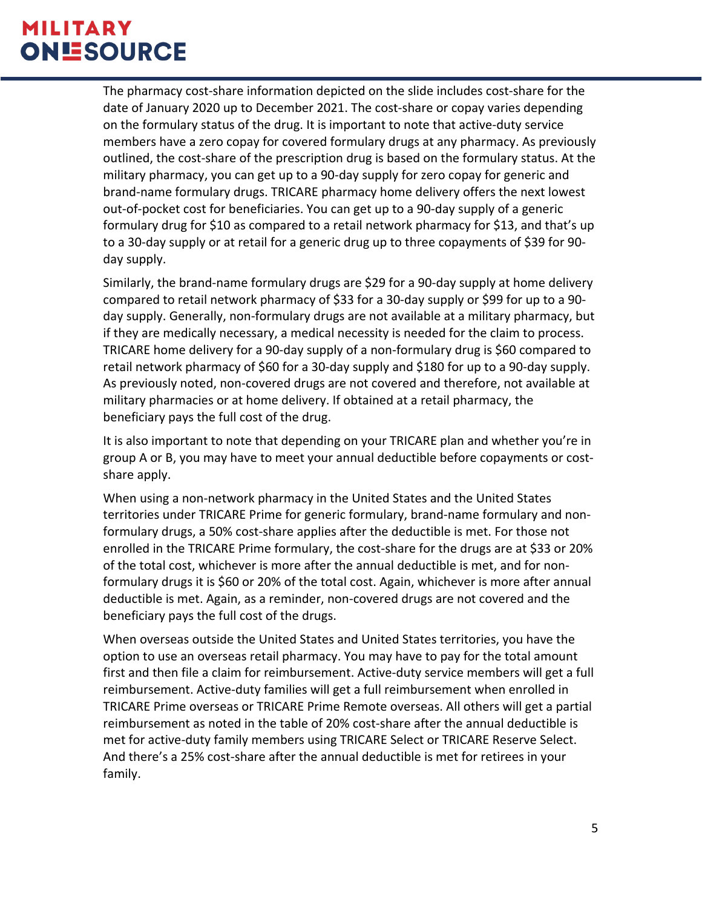The pharmacy cost-share information depicted on the slide includes cost-share for the date of January 2020 up to December 2021. The cost-share or copay varies depending on the formulary status of the drug. It is important to note that active-duty service members have a zero copay for covered formulary drugs at any pharmacy. As previously outlined, the cost-share of the prescription drug is based on the formulary status. At the military pharmacy, you can get up to a 90-day supply for zero copay for generic and brand-name formulary drugs. TRICARE pharmacy home delivery offers the next lowest out-of-pocket cost for beneficiaries. You can get up to a 90-day supply of a generic formulary drug for \$10 as compared to a retail network pharmacy for \$13, and that's up to a 30-day supply or at retail for a generic drug up to three copayments of \$39 for 90 day supply.

Similarly, the brand-name formulary drugs are \$29 for a 90-day supply at home delivery compared to retail network pharmacy of \$33 for a 30-day supply or \$99 for up to a 90 day supply. Generally, non-formulary drugs are not available at a military pharmacy, but if they are medically necessary, a medical necessity is needed for the claim to process. TRICARE home delivery for a 90-day supply of a non-formulary drug is \$60 compared to retail network pharmacy of \$60 for a 30-day supply and \$180 for up to a 90-day supply. As previously noted, non-covered drugs are not covered and therefore, not available at military pharmacies or at home delivery. If obtained at a retail pharmacy, the beneficiary pays the full cost of the drug.

It is also important to note that depending on your TRICARE plan and whether you're in group A or B, you may have to meet your annual deductible before copayments or costshare apply.

When using a non-network pharmacy in the United States and the United States territories under TRICARE Prime for generic formulary, brand-name formulary and nonformulary drugs, a 50% cost-share applies after the deductible is met. For those not enrolled in the TRICARE Prime formulary, the cost-share for the drugs are at \$33 or 20% of the total cost, whichever is more after the annual deductible is met, and for nonformulary drugs it is \$60 or 20% of the total cost. Again, whichever is more after annual deductible is met. Again, as a reminder, non-covered drugs are not covered and the beneficiary pays the full cost of the drugs.

When overseas outside the United States and United States territories, you have the option to use an overseas retail pharmacy. You may have to pay for the total amount first and then file a claim for reimbursement. Active-duty service members will get a full reimbursement. Active-duty families will get a full reimbursement when enrolled in TRICARE Prime overseas or TRICARE Prime Remote overseas. All others will get a partial reimbursement as noted in the table of 20% cost-share after the annual deductible is met for active-duty family members using TRICARE Select or TRICARE Reserve Select. And there's a 25% cost-share after the annual deductible is met for retirees in your family.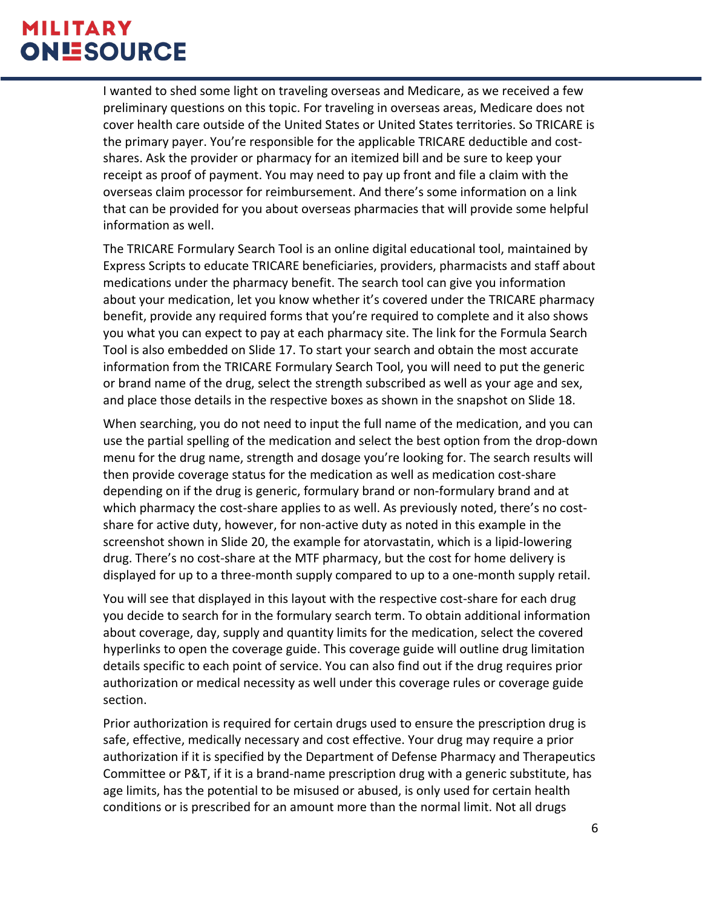I wanted to shed some light on traveling overseas and Medicare, as we received a few preliminary questions on this topic. For traveling in overseas areas, Medicare does not cover health care outside of the United States or United States territories. So TRICARE is the primary payer. You're responsible for the applicable TRICARE deductible and costshares. Ask the provider or pharmacy for an itemized bill and be sure to keep your receipt as proof of payment. You may need to pay up front and file a claim with the overseas claim processor for reimbursement. And there's some information on a link that can be provided for you about overseas pharmacies that will provide some helpful information as well.

The TRICARE Formulary Search Tool is an online digital educational tool, maintained by Express Scripts to educate TRICARE beneficiaries, providers, pharmacists and staff about medications under the pharmacy benefit. The search tool can give you information about your medication, let you know whether it's covered under the TRICARE pharmacy benefit, provide any required forms that you're required to complete and it also shows you what you can expect to pay at each pharmacy site. The link for the Formula Search Tool is also embedded on Slide 17. To start your search and obtain the most accurate information from the TRICARE Formulary Search Tool, you will need to put the generic or brand name of the drug, select the strength subscribed as well as your age and sex, and place those details in the respective boxes as shown in the snapshot on Slide 18.

When searching, you do not need to input the full name of the medication, and you can use the partial spelling of the medication and select the best option from the drop-down menu for the drug name, strength and dosage you're looking for. The search results will then provide coverage status for the medication as well as medication cost-share depending on if the drug is generic, formulary brand or non-formulary brand and at which pharmacy the cost-share applies to as well. As previously noted, there's no costshare for active duty, however, for non-active duty as noted in this example in the screenshot shown in Slide 20, the example for atorvastatin, which is a lipid-lowering drug. There's no cost-share at the MTF pharmacy, but the cost for home delivery is displayed for up to a three-month supply compared to up to a one-month supply retail.

You will see that displayed in this layout with the respective cost-share for each drug you decide to search for in the formulary search term. To obtain additional information about coverage, day, supply and quantity limits for the medication, select the covered hyperlinks to open the coverage guide. This coverage guide will outline drug limitation details specific to each point of service. You can also find out if the drug requires prior authorization or medical necessity as well under this coverage rules or coverage guide section.

Prior authorization is required for certain drugs used to ensure the prescription drug is safe, effective, medically necessary and cost effective. Your drug may require a prior authorization if it is specified by the Department of Defense Pharmacy and Therapeutics Committee or P&T, if it is a brand-name prescription drug with a generic substitute, has age limits, has the potential to be misused or abused, is only used for certain health conditions or is prescribed for an amount more than the normal limit. Not all drugs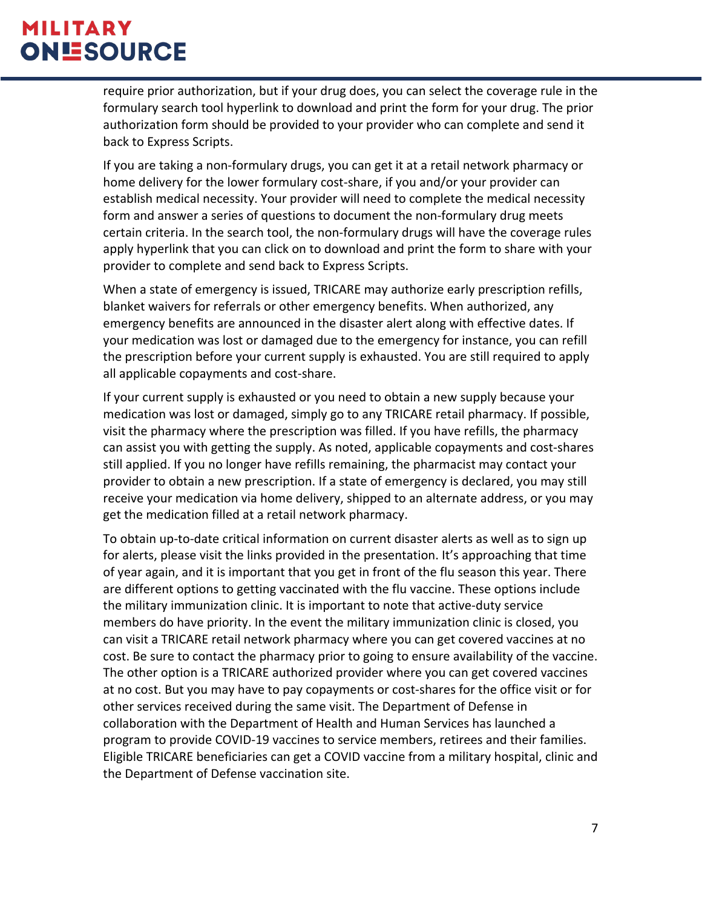require prior authorization, but if your drug does, you can select the coverage rule in the formulary search tool hyperlink to download and print the form for your drug. The prior authorization form should be provided to your provider who can complete and send it back to Express Scripts.

If you are taking a non-formulary drugs, you can get it at a retail network pharmacy or home delivery for the lower formulary cost-share, if you and/or your provider can establish medical necessity. Your provider will need to complete the medical necessity form and answer a series of questions to document the non-formulary drug meets certain criteria. In the search tool, the non-formulary drugs will have the coverage rules apply hyperlink that you can click on to download and print the form to share with your provider to complete and send back to Express Scripts.

When a state of emergency is issued, TRICARE may authorize early prescription refills, blanket waivers for referrals or other emergency benefits. When authorized, any emergency benefits are announced in the disaster alert along with effective dates. If your medication was lost or damaged due to the emergency for instance, you can refill the prescription before your current supply is exhausted. You are still required to apply all applicable copayments and cost-share.

If your current supply is exhausted or you need to obtain a new supply because your medication was lost or damaged, simply go to any TRICARE retail pharmacy. If possible, visit the pharmacy where the prescription was filled. If you have refills, the pharmacy can assist you with getting the supply. As noted, applicable copayments and cost-shares still applied. If you no longer have refills remaining, the pharmacist may contact your provider to obtain a new prescription. If a state of emergency is declared, you may still receive your medication via home delivery, shipped to an alternate address, or you may get the medication filled at a retail network pharmacy.

To obtain up-to-date critical information on current disaster alerts as well as to sign up for alerts, please visit the links provided in the presentation. It's approaching that time of year again, and it is important that you get in front of the flu season this year. There are different options to getting vaccinated with the flu vaccine. These options include the military immunization clinic. It is important to note that active-duty service members do have priority. In the event the military immunization clinic is closed, you can visit a TRICARE retail network pharmacy where you can get covered vaccines at no cost. Be sure to contact the pharmacy prior to going to ensure availability of the vaccine. The other option is a TRICARE authorized provider where you can get covered vaccines at no cost. But you may have to pay copayments or cost-shares for the office visit or for other services received during the same visit. The Department of Defense in collaboration with the Department of Health and Human Services has launched a program to provide COVID-19 vaccines to service members, retirees and their families. Eligible TRICARE beneficiaries can get a COVID vaccine from a military hospital, clinic and the Department of Defense vaccination site.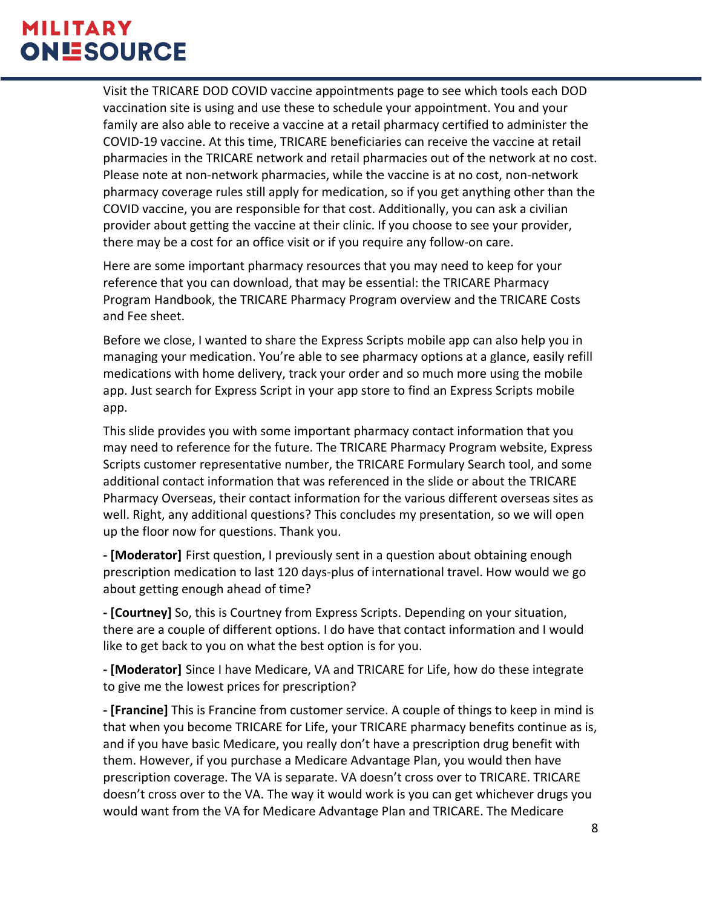Visit the TRICARE DOD COVID vaccine appointments page to see which tools each DOD vaccination site is using and use these to schedule your appointment. You and your family are also able to receive a vaccine at a retail pharmacy certified to administer the COVID-19 vaccine. At this time, TRICARE beneficiaries can receive the vaccine at retail pharmacies in the TRICARE network and retail pharmacies out of the network at no cost. Please note at non-network pharmacies, while the vaccine is at no cost, non-network pharmacy coverage rules still apply for medication, so if you get anything other than the COVID vaccine, you are responsible for that cost. Additionally, you can ask a civilian provider about getting the vaccine at their clinic. If you choose to see your provider, there may be a cost for an office visit or if you require any follow-on care.

Here are some important pharmacy resources that you may need to keep for your reference that you can download, that may be essential: the TRICARE Pharmacy Program Handbook, the TRICARE Pharmacy Program overview and the TRICARE Costs and Fee sheet.

Before we close, I wanted to share the Express Scripts mobile app can also help you in managing your medication. You're able to see pharmacy options at a glance, easily refill medications with home delivery, track your order and so much more using the mobile app. Just search for Express Script in your app store to find an Express Scripts mobile app.

This slide provides you with some important pharmacy contact information that you may need to reference for the future. The TRICARE Pharmacy Program website, Express Scripts customer representative number, the TRICARE Formulary Search tool, and some additional contact information that was referenced in the slide or about the TRICARE Pharmacy Overseas, their contact information for the various different overseas sites as well. Right, any additional questions? This concludes my presentation, so we will open up the floor now for questions. Thank you.

**- [Moderator]** First question, I previously sent in a question about obtaining enough prescription medication to last 120 days-plus of international travel. How would we go about getting enough ahead of time?

**- [Courtney]** So, this is Courtney from Express Scripts. Depending on your situation, there are a couple of different options. I do have that contact information and I would like to get back to you on what the best option is for you.

**- [Moderator]** Since I have Medicare, VA and TRICARE for Life, how do these integrate to give me the lowest prices for prescription?

**- [Francine]** This is Francine from customer service. A couple of things to keep in mind is that when you become TRICARE for Life, your TRICARE pharmacy benefits continue as is, and if you have basic Medicare, you really don't have a prescription drug benefit with them. However, if you purchase a Medicare Advantage Plan, you would then have prescription coverage. The VA is separate. VA doesn't cross over to TRICARE. TRICARE doesn't cross over to the VA. The way it would work is you can get whichever drugs you would want from the VA for Medicare Advantage Plan and TRICARE. The Medicare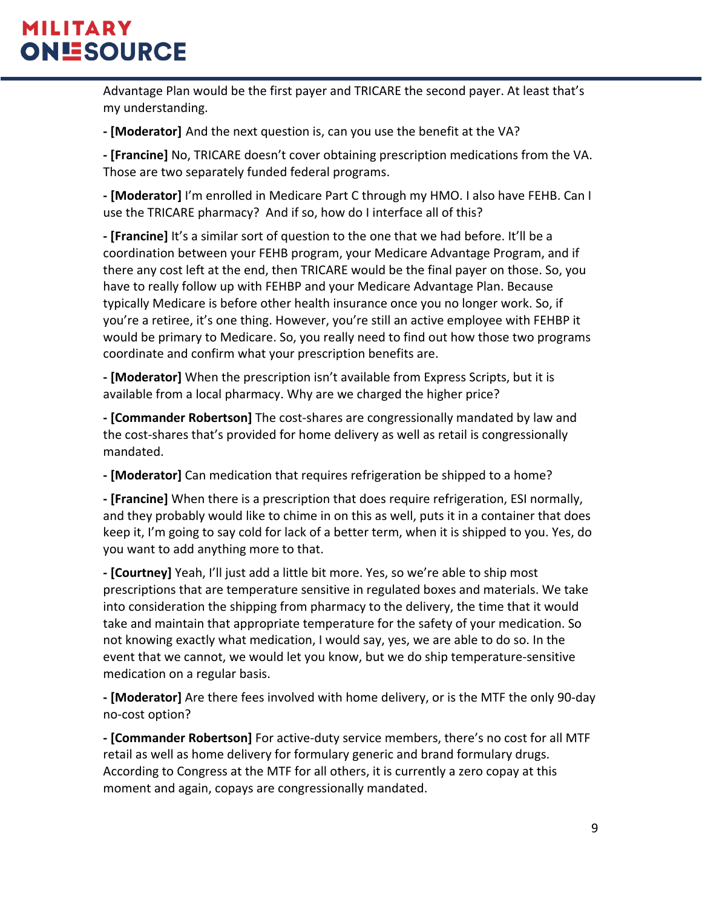Advantage Plan would be the first payer and TRICARE the second payer. At least that's my understanding.

**- [Moderator]** And the next question is, can you use the benefit at the VA?

**- [Francine]** No, TRICARE doesn't cover obtaining prescription medications from the VA. Those are two separately funded federal programs.

**- [Moderator]** I'm enrolled in Medicare Part C through my HMO. I also have FEHB. Can I use the TRICARE pharmacy? And if so, how do I interface all of this?

**- [Francine]** It's a similar sort of question to the one that we had before. It'll be a coordination between your FEHB program, your Medicare Advantage Program, and if there any cost left at the end, then TRICARE would be the final payer on those. So, you have to really follow up with FEHBP and your Medicare Advantage Plan. Because typically Medicare is before other health insurance once you no longer work. So, if you're a retiree, it's one thing. However, you're still an active employee with FEHBP it would be primary to Medicare. So, you really need to find out how those two programs coordinate and confirm what your prescription benefits are.

**- [Moderator]** When the prescription isn't available from Express Scripts, but it is available from a local pharmacy. Why are we charged the higher price?

**- [Commander Robertson]** The cost-shares are congressionally mandated by law and the cost-shares that's provided for home delivery as well as retail is congressionally mandated.

**- [Moderator]** Can medication that requires refrigeration be shipped to a home?

**- [Francine]** When there is a prescription that does require refrigeration, ESI normally, and they probably would like to chime in on this as well, puts it in a container that does keep it, I'm going to say cold for lack of a better term, when it is shipped to you. Yes, do you want to add anything more to that.

**- [Courtney]** Yeah, I'll just add a little bit more. Yes, so we're able to ship most prescriptions that are temperature sensitive in regulated boxes and materials. We take into consideration the shipping from pharmacy to the delivery, the time that it would take and maintain that appropriate temperature for the safety of your medication. So not knowing exactly what medication, I would say, yes, we are able to do so. In the event that we cannot, we would let you know, but we do ship temperature-sensitive medication on a regular basis.

**- [Moderator]** Are there fees involved with home delivery, or is the MTF the only 90-day no-cost option?

**- [Commander Robertson]** For active-duty service members, there's no cost for all MTF retail as well as home delivery for formulary generic and brand formulary drugs. According to Congress at the MTF for all others, it is currently a zero copay at this moment and again, copays are congressionally mandated.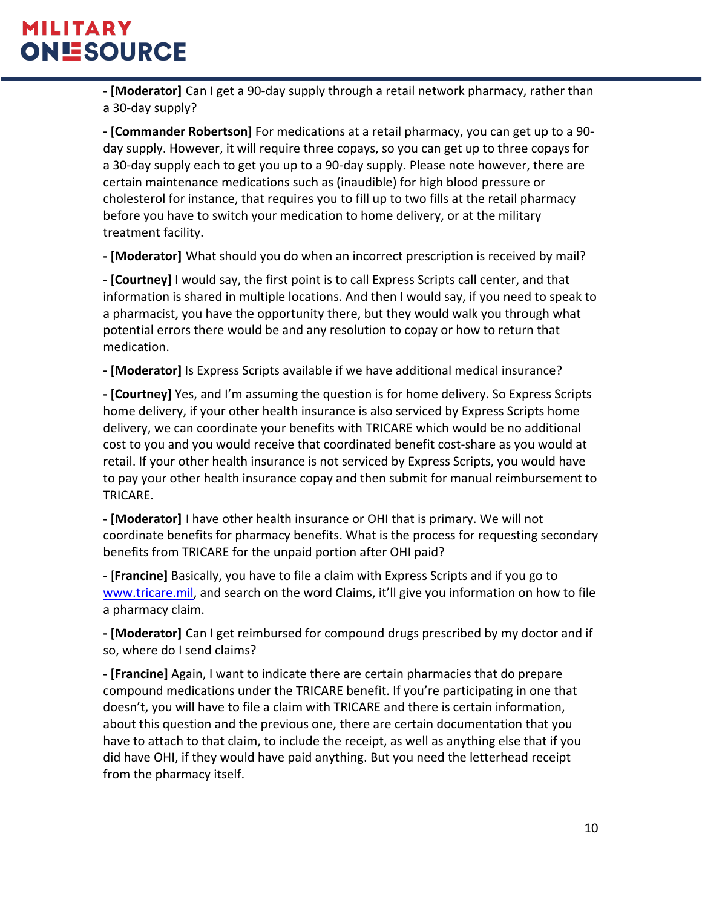**- [Moderator]** Can I get a 90-day supply through a retail network pharmacy, rather than a 30-day supply?

**- [Commander Robertson]** For medications at a retail pharmacy, you can get up to a 90 day supply. However, it will require three copays, so you can get up to three copays for a 30-day supply each to get you up to a 90-day supply. Please note however, there are certain maintenance medications such as (inaudible) for high blood pressure or cholesterol for instance, that requires you to fill up to two fills at the retail pharmacy before you have to switch your medication to home delivery, or at the military treatment facility.

**- [Moderator]** What should you do when an incorrect prescription is received by mail?

**- [Courtney]** I would say, the first point is to call Express Scripts call center, and that information is shared in multiple locations. And then I would say, if you need to speak to a pharmacist, you have the opportunity there, but they would walk you through what potential errors there would be and any resolution to copay or how to return that medication.

**- [Moderator]** Is Express Scripts available if we have additional medical insurance?

**- [Courtney]** Yes, and I'm assuming the question is for home delivery. So Express Scripts home delivery, if your other health insurance is also serviced by Express Scripts home delivery, we can coordinate your benefits with TRICARE which would be no additional cost to you and you would receive that coordinated benefit cost-share as you would at retail. If your other health insurance is not serviced by Express Scripts, you would have to pay your other health insurance copay and then submit for manual reimbursement to TRICARE.

**- [Moderator]** I have other health insurance or OHI that is primary. We will not coordinate benefits for pharmacy benefits. What is the process for requesting secondary benefits from TRICARE for the unpaid portion after OHI paid?

- [**Francine]** Basically, you have to file a claim with Express Scripts and if you go to [www.tricare.mil,](http://www.tricare.mil/) and search on the word Claims, it'll give you information on how to file a pharmacy claim.

**- [Moderator]** Can I get reimbursed for compound drugs prescribed by my doctor and if so, where do I send claims?

**- [Francine]** Again, I want to indicate there are certain pharmacies that do prepare compound medications under the TRICARE benefit. If you're participating in one that doesn't, you will have to file a claim with TRICARE and there is certain information, about this question and the previous one, there are certain documentation that you have to attach to that claim, to include the receipt, as well as anything else that if you did have OHI, if they would have paid anything. But you need the letterhead receipt from the pharmacy itself.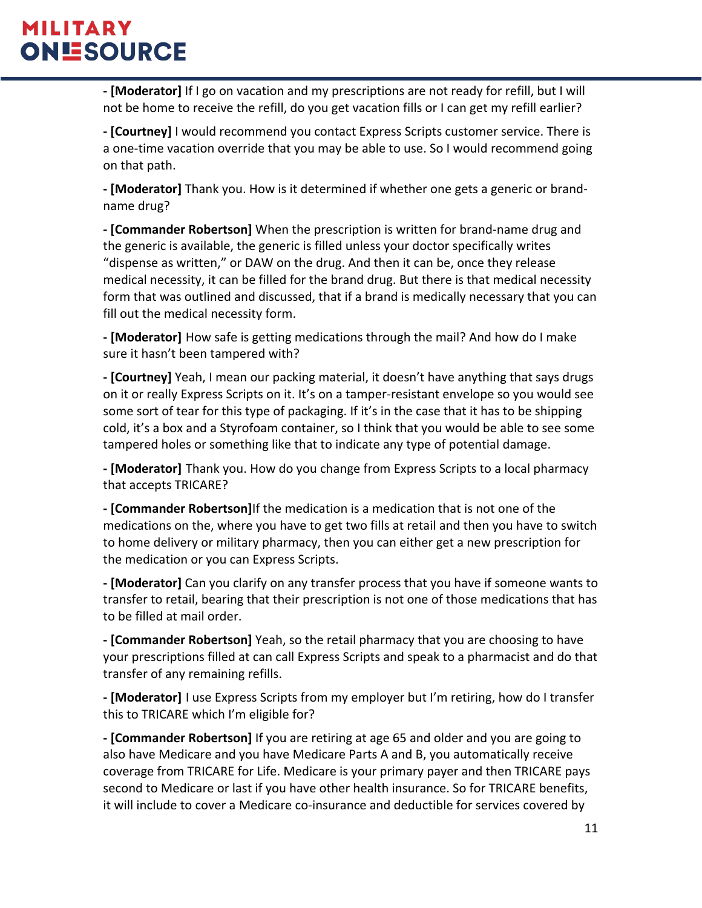**- [Moderator]** If I go on vacation and my prescriptions are not ready for refill, but I will not be home to receive the refill, do you get vacation fills or I can get my refill earlier?

**- [Courtney]** I would recommend you contact Express Scripts customer service. There is a one-time vacation override that you may be able to use. So I would recommend going on that path.

**- [Moderator]** Thank you. How is it determined if whether one gets a generic or brandname drug?

**- [Commander Robertson]** When the prescription is written for brand-name drug and the generic is available, the generic is filled unless your doctor specifically writes "dispense as written," or DAW on the drug. And then it can be, once they release medical necessity, it can be filled for the brand drug. But there is that medical necessity form that was outlined and discussed, that if a brand is medically necessary that you can fill out the medical necessity form.

**- [Moderator]** How safe is getting medications through the mail? And how do I make sure it hasn't been tampered with?

**- [Courtney]** Yeah, I mean our packing material, it doesn't have anything that says drugs on it or really Express Scripts on it. It's on a tamper-resistant envelope so you would see some sort of tear for this type of packaging. If it's in the case that it has to be shipping cold, it's a box and a Styrofoam container, so I think that you would be able to see some tampered holes or something like that to indicate any type of potential damage.

**- [Moderator]** Thank you. How do you change from Express Scripts to a local pharmacy that accepts TRICARE?

**- [Commander Robertson]**If the medication is a medication that is not one of the medications on the, where you have to get two fills at retail and then you have to switch to home delivery or military pharmacy, then you can either get a new prescription for the medication or you can Express Scripts.

**- [Moderator]** Can you clarify on any transfer process that you have if someone wants to transfer to retail, bearing that their prescription is not one of those medications that has to be filled at mail order.

**- [Commander Robertson]** Yeah, so the retail pharmacy that you are choosing to have your prescriptions filled at can call Express Scripts and speak to a pharmacist and do that transfer of any remaining refills.

**- [Moderator]** I use Express Scripts from my employer but I'm retiring, how do I transfer this to TRICARE which I'm eligible for?

**- [Commander Robertson]** If you are retiring at age 65 and older and you are going to also have Medicare and you have Medicare Parts A and B, you automatically receive coverage from TRICARE for Life. Medicare is your primary payer and then TRICARE pays second to Medicare or last if you have other health insurance. So for TRICARE benefits, it will include to cover a Medicare co-insurance and deductible for services covered by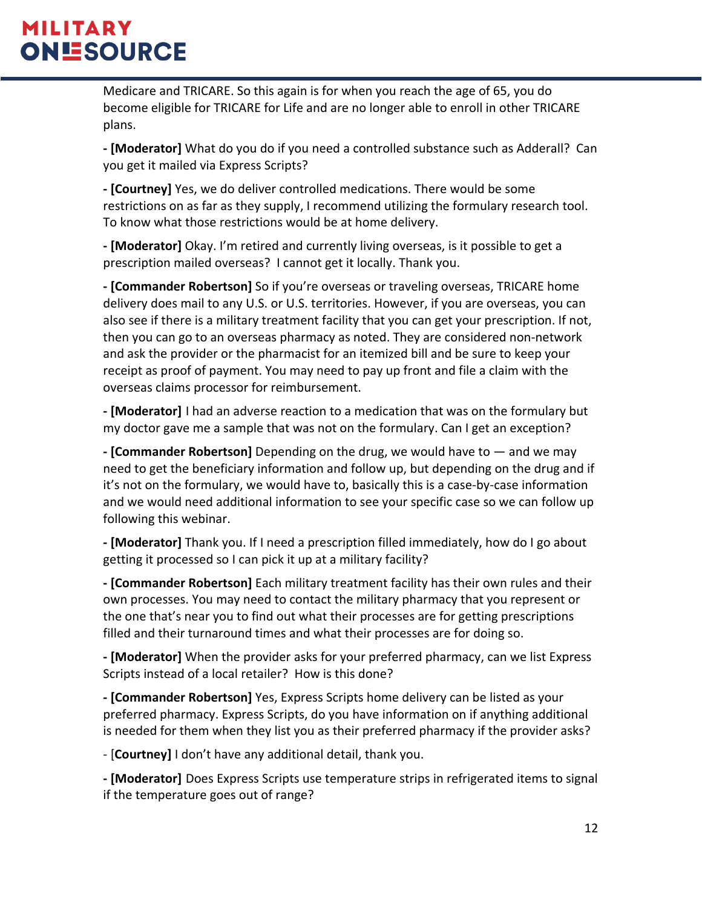Medicare and TRICARE. So this again is for when you reach the age of 65, you do become eligible for TRICARE for Life and are no longer able to enroll in other TRICARE plans.

**- [Moderator]** What do you do if you need a controlled substance such as Adderall? Can you get it mailed via Express Scripts?

**- [Courtney]** Yes, we do deliver controlled medications. There would be some restrictions on as far as they supply, I recommend utilizing the formulary research tool. To know what those restrictions would be at home delivery.

**- [Moderator]** Okay. I'm retired and currently living overseas, is it possible to get a prescription mailed overseas? I cannot get it locally. Thank you.

**- [Commander Robertson]** So if you're overseas or traveling overseas, TRICARE home delivery does mail to any U.S. or U.S. territories. However, if you are overseas, you can also see if there is a military treatment facility that you can get your prescription. If not, then you can go to an overseas pharmacy as noted. They are considered non-network and ask the provider or the pharmacist for an itemized bill and be sure to keep your receipt as proof of payment. You may need to pay up front and file a claim with the overseas claims processor for reimbursement.

**- [Moderator]** I had an adverse reaction to a medication that was on the formulary but my doctor gave me a sample that was not on the formulary. Can I get an exception?

**- [Commander Robertson]** Depending on the drug, we would have to — and we may need to get the beneficiary information and follow up, but depending on the drug and if it's not on the formulary, we would have to, basically this is a case-by-case information and we would need additional information to see your specific case so we can follow up following this webinar.

**- [Moderator]** Thank you. If I need a prescription filled immediately, how do I go about getting it processed so I can pick it up at a military facility?

**- [Commander Robertson]** Each military treatment facility has their own rules and their own processes. You may need to contact the military pharmacy that you represent or the one that's near you to find out what their processes are for getting prescriptions filled and their turnaround times and what their processes are for doing so.

**- [Moderator]** When the provider asks for your preferred pharmacy, can we list Express Scripts instead of a local retailer? How is this done?

**- [Commander Robertson]** Yes, Express Scripts home delivery can be listed as your preferred pharmacy. Express Scripts, do you have information on if anything additional is needed for them when they list you as their preferred pharmacy if the provider asks?

- [**Courtney]** I don't have any additional detail, thank you.

**- [Moderator]** Does Express Scripts use temperature strips in refrigerated items to signal if the temperature goes out of range?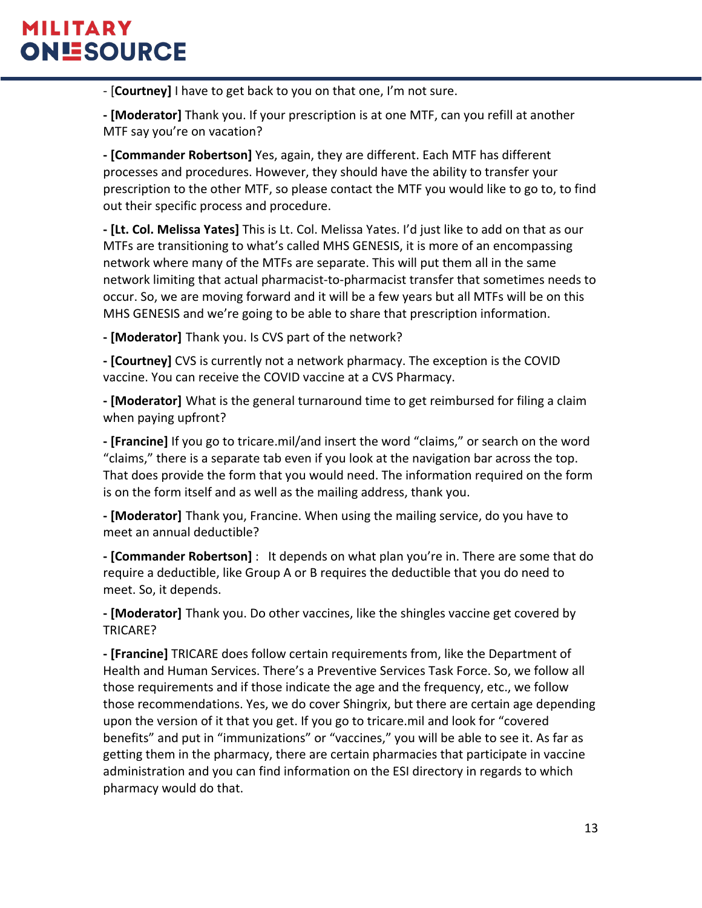- [**Courtney]** I have to get back to you on that one, I'm not sure.

**- [Moderator]** Thank you. If your prescription is at one MTF, can you refill at another MTF say you're on vacation?

**- [Commander Robertson]** Yes, again, they are different. Each MTF has different processes and procedures. However, they should have the ability to transfer your prescription to the other MTF, so please contact the MTF you would like to go to, to find out their specific process and procedure.

**- [Lt. Col. Melissa Yates]** This is Lt. Col. Melissa Yates. I'd just like to add on that as our MTFs are transitioning to what's called MHS GENESIS, it is more of an encompassing network where many of the MTFs are separate. This will put them all in the same network limiting that actual pharmacist-to-pharmacist transfer that sometimes needs to occur. So, we are moving forward and it will be a few years but all MTFs will be on this MHS GENESIS and we're going to be able to share that prescription information.

**- [Moderator]** Thank you. Is CVS part of the network?

**- [Courtney]** CVS is currently not a network pharmacy. The exception is the COVID vaccine. You can receive the COVID vaccine at a CVS Pharmacy.

**- [Moderator]** What is the general turnaround time to get reimbursed for filing a claim when paying upfront?

**- [Francine]** If you go to tricare.mil/and insert the word "claims," or search on the word "claims," there is a separate tab even if you look at the navigation bar across the top. That does provide the form that you would need. The information required on the form is on the form itself and as well as the mailing address, thank you.

**- [Moderator]** Thank you, Francine. When using the mailing service, do you have to meet an annual deductible?

**- [Commander Robertson]** : It depends on what plan you're in. There are some that do require a deductible, like Group A or B requires the deductible that you do need to meet. So, it depends.

**- [Moderator]** Thank you. Do other vaccines, like the shingles vaccine get covered by TRICARE?

**- [Francine]** TRICARE does follow certain requirements from, like the Department of Health and Human Services. There's a Preventive Services Task Force. So, we follow all those requirements and if those indicate the age and the frequency, etc., we follow those recommendations. Yes, we do cover Shingrix, but there are certain age depending upon the version of it that you get. If you go to tricare.mil and look for "covered benefits" and put in "immunizations" or "vaccines," you will be able to see it. As far as getting them in the pharmacy, there are certain pharmacies that participate in vaccine administration and you can find information on the ESI directory in regards to which pharmacy would do that.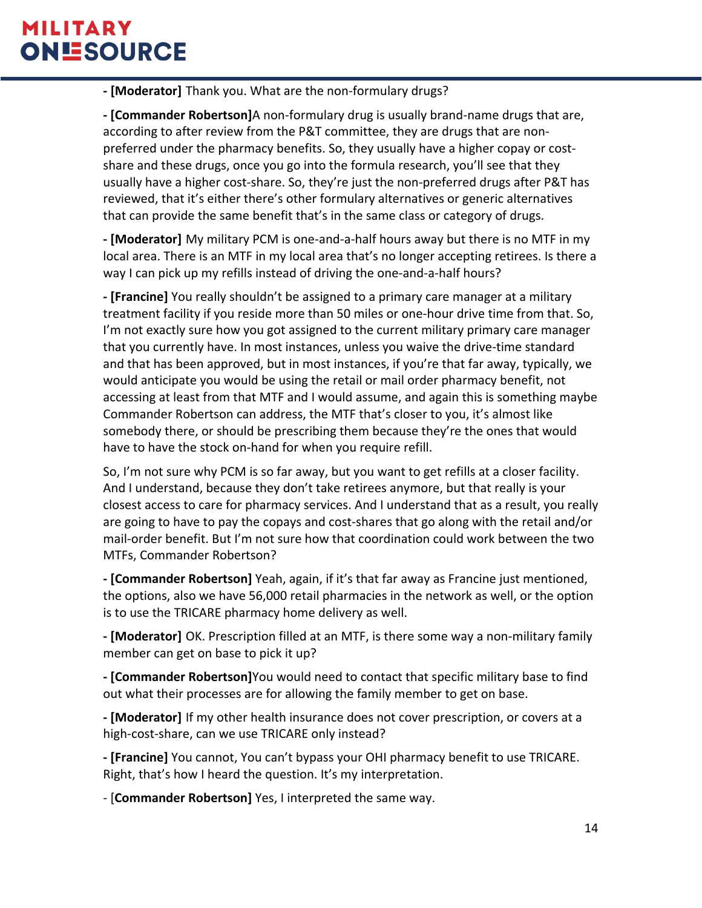**- [Moderator]** Thank you. What are the non-formulary drugs?

**- [Commander Robertson]**A non-formulary drug is usually brand-name drugs that are, according to after review from the P&T committee, they are drugs that are nonpreferred under the pharmacy benefits. So, they usually have a higher copay or costshare and these drugs, once you go into the formula research, you'll see that they usually have a higher cost-share. So, they're just the non-preferred drugs after P&T has reviewed, that it's either there's other formulary alternatives or generic alternatives that can provide the same benefit that's in the same class or category of drugs.

**- [Moderator]** My military PCM is one-and-a-half hours away but there is no MTF in my local area. There is an MTF in my local area that's no longer accepting retirees. Is there a way I can pick up my refills instead of driving the one-and-a-half hours?

**- [Francine]** You really shouldn't be assigned to a primary care manager at a military treatment facility if you reside more than 50 miles or one-hour drive time from that. So, I'm not exactly sure how you got assigned to the current military primary care manager that you currently have. In most instances, unless you waive the drive-time standard and that has been approved, but in most instances, if you're that far away, typically, we would anticipate you would be using the retail or mail order pharmacy benefit, not accessing at least from that MTF and I would assume, and again this is something maybe Commander Robertson can address, the MTF that's closer to you, it's almost like somebody there, or should be prescribing them because they're the ones that would have to have the stock on-hand for when you require refill.

So, I'm not sure why PCM is so far away, but you want to get refills at a closer facility. And I understand, because they don't take retirees anymore, but that really is your closest access to care for pharmacy services. And I understand that as a result, you really are going to have to pay the copays and cost-shares that go along with the retail and/or mail-order benefit. But I'm not sure how that coordination could work between the two MTFs, Commander Robertson?

**- [Commander Robertson]** Yeah, again, if it's that far away as Francine just mentioned, the options, also we have 56,000 retail pharmacies in the network as well, or the option is to use the TRICARE pharmacy home delivery as well.

**- [Moderator]** OK. Prescription filled at an MTF, is there some way a non-military family member can get on base to pick it up?

**- [Commander Robertson]**You would need to contact that specific military base to find out what their processes are for allowing the family member to get on base.

**- [Moderator]** If my other health insurance does not cover prescription, or covers at a high-cost-share, can we use TRICARE only instead?

**- [Francine]** You cannot, You can't bypass your OHI pharmacy benefit to use TRICARE. Right, that's how I heard the question. It's my interpretation.

- [**Commander Robertson]** Yes, I interpreted the same way.